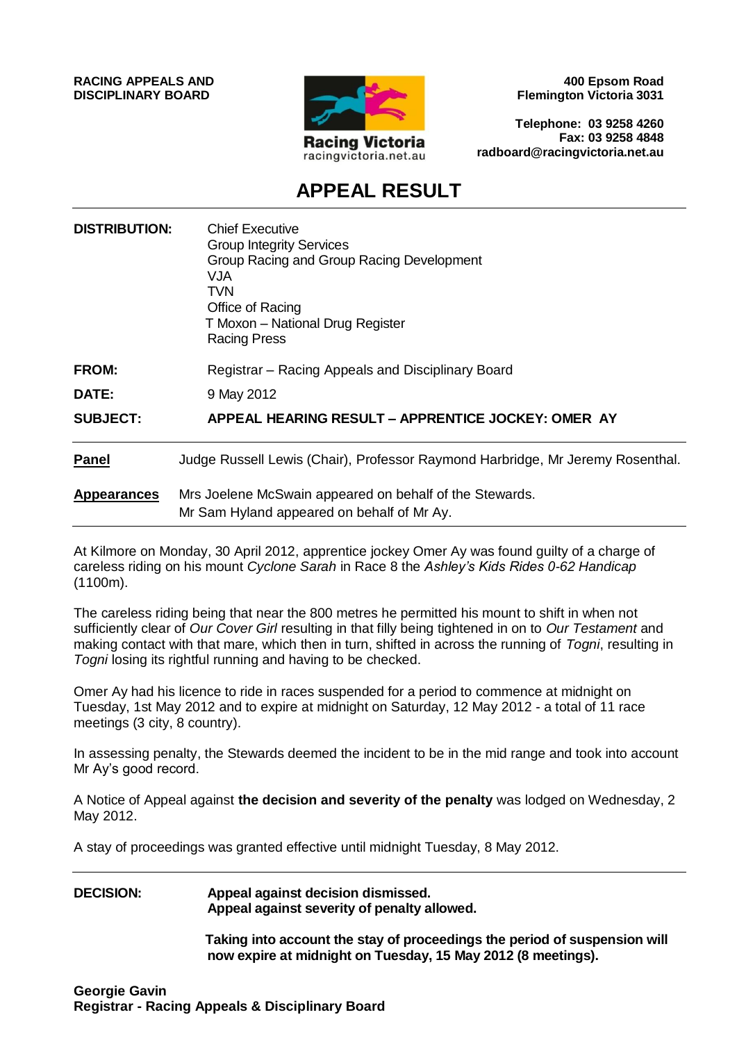**RACING APPEALS AND DISCIPLINARY BOARD**



**400 Epsom Road Flemington Victoria 3031**

**Telephone: 03 9258 4260 Fax: 03 9258 4848 radboard@racingvictoria.net.au**

## **APPEAL RESULT**

| <b>DISTRIBUTION:</b> | <b>Chief Executive</b><br><b>Group Integrity Services</b><br>Group Racing and Group Racing Development<br>VJA<br>TVN<br>Office of Racing<br>T Moxon - National Drug Register<br><b>Racing Press</b> |
|----------------------|-----------------------------------------------------------------------------------------------------------------------------------------------------------------------------------------------------|
| <b>FROM:</b>         | Registrar – Racing Appeals and Disciplinary Board                                                                                                                                                   |
| DATE:                | 9 May 2012                                                                                                                                                                                          |
| <b>SUBJECT:</b>      | APPEAL HEARING RESULT - APPRENTICE JOCKEY: OMER AY                                                                                                                                                  |
| Panel                | Judge Russell Lewis (Chair), Professor Raymond Harbridge, Mr Jeremy Rosenthal.                                                                                                                      |
| <b>Appearances</b>   | Mrs Joelene McSwain appeared on behalf of the Stewards.<br>Mr Sam Hyland appeared on behalf of Mr Ay.                                                                                               |

At Kilmore on Monday, 30 April 2012, apprentice jockey Omer Ay was found guilty of a charge of careless riding on his mount *Cyclone Sarah* in Race 8 the *Ashley's Kids Rides 0-62 Handicap*  (1100m).

The careless riding being that near the 800 metres he permitted his mount to shift in when not sufficiently clear of *Our Cover Girl* resulting in that filly being tightened in on to *Our Testament* and making contact with that mare, which then in turn, shifted in across the running of *Togni*, resulting in *Togni* losing its rightful running and having to be checked.

Omer Ay had his licence to ride in races suspended for a period to commence at midnight on Tuesday, 1st May 2012 and to expire at midnight on Saturday, 12 May 2012 - a total of 11 race meetings (3 city, 8 country).

In assessing penalty, the Stewards deemed the incident to be in the mid range and took into account Mr Ay's good record.

A Notice of Appeal against **the decision and severity of the penalty** was lodged on Wednesday, 2 May 2012.

A stay of proceedings was granted effective until midnight Tuesday, 8 May 2012.

#### **DECISION: Appeal against decision dismissed. Appeal against severity of penalty allowed.**

**Taking into account the stay of proceedings the period of suspension will now expire at midnight on Tuesday, 15 May 2012 (8 meetings).**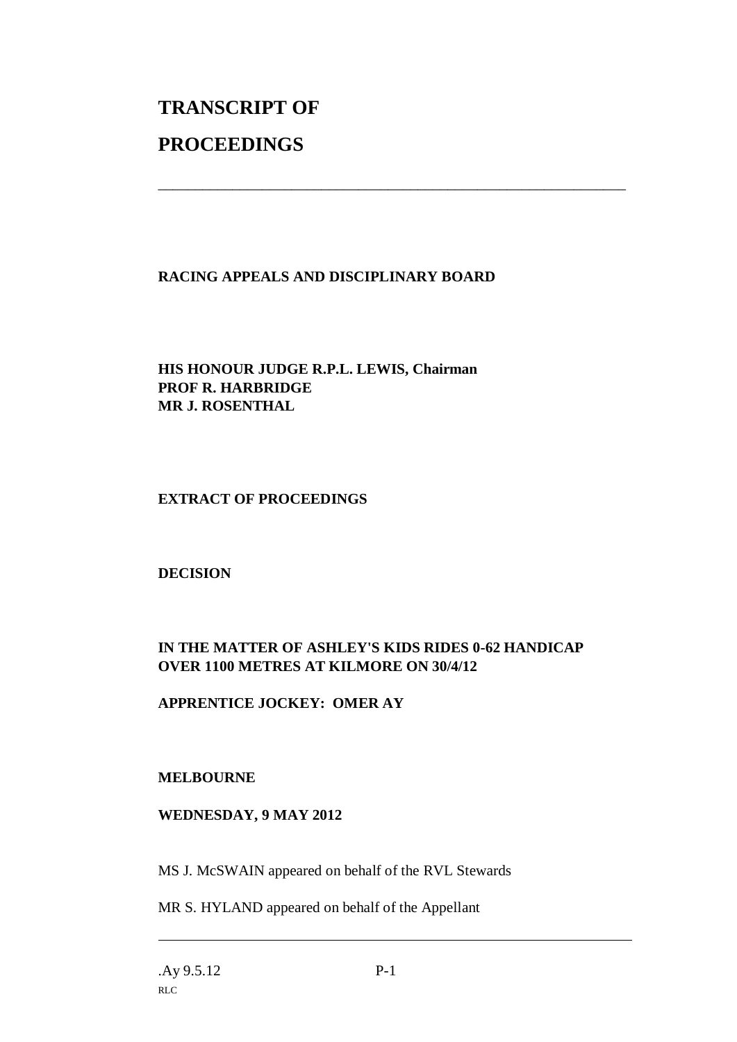# **TRANSCRIPT OF PROCEEDINGS**

#### **RACING APPEALS AND DISCIPLINARY BOARD**

\_\_\_\_\_\_\_\_\_\_\_\_\_\_\_\_\_\_\_\_\_\_\_\_\_\_\_\_\_\_\_\_\_\_\_\_\_\_\_\_\_\_\_\_\_\_\_\_\_\_\_\_\_\_\_\_\_\_\_\_\_\_\_

#### **HIS HONOUR JUDGE R.P.L. LEWIS, Chairman PROF R. HARBRIDGE MR J. ROSENTHAL**

#### **EXTRACT OF PROCEEDINGS**

#### **DECISION**

### **IN THE MATTER OF ASHLEY'S KIDS RIDES 0-62 HANDICAP OVER 1100 METRES AT KILMORE ON 30/4/12**

#### **APPRENTICE JOCKEY: OMER AY**

#### **MELBOURNE**

#### **WEDNESDAY, 9 MAY 2012**

MS J. McSWAIN appeared on behalf of the RVL Stewards

MR S. HYLAND appeared on behalf of the Appellant